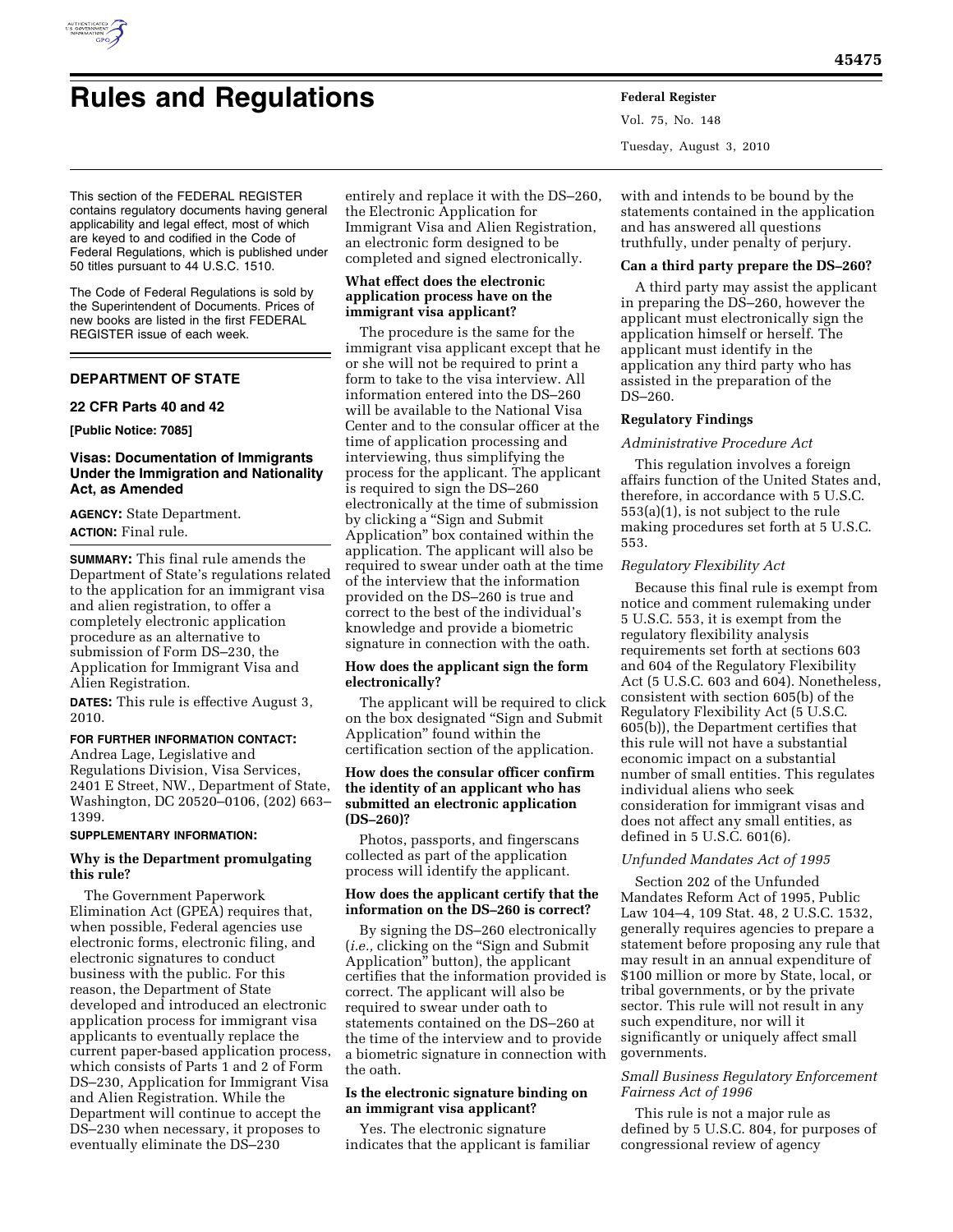

# **Rules and Regulations Federal Register**

Vol. 75, No. 148 Tuesday, August 3, 2010

This section of the FEDERAL REGISTER contains regulatory documents having general applicability and legal effect, most of which are keyed to and codified in the Code of Federal Regulations, which is published under 50 titles pursuant to 44 U.S.C. 1510.

The Code of Federal Regulations is sold by the Superintendent of Documents. Prices of new books are listed in the first FEDERAL REGISTER issue of each week.

# **DEPARTMENT OF STATE**

## **22 CFR Parts 40 and 42**

**[Public Notice: 7085]** 

## **Visas: Documentation of Immigrants Under the Immigration and Nationality Act, as Amended**

**AGENCY:** State Department.

**ACTION:** Final rule.

**SUMMARY:** This final rule amends the Department of State's regulations related to the application for an immigrant visa and alien registration, to offer a completely electronic application procedure as an alternative to submission of Form DS–230, the Application for Immigrant Visa and Alien Registration.

**DATES:** This rule is effective August 3, 2010.

## **FOR FURTHER INFORMATION CONTACT:**

Andrea Lage, Legislative and Regulations Division, Visa Services, 2401 E Street, NW., Department of State, Washington, DC 20520–0106, (202) 663– 1399.

## **SUPPLEMENTARY INFORMATION:**

## **Why is the Department promulgating this rule?**

The Government Paperwork Elimination Act (GPEA) requires that, when possible, Federal agencies use electronic forms, electronic filing, and electronic signatures to conduct business with the public. For this reason, the Department of State developed and introduced an electronic application process for immigrant visa applicants to eventually replace the current paper-based application process, which consists of Parts 1 and 2 of Form DS–230, Application for Immigrant Visa and Alien Registration. While the Department will continue to accept the DS–230 when necessary, it proposes to eventually eliminate the DS–230

entirely and replace it with the DS–260, the Electronic Application for Immigrant Visa and Alien Registration, an electronic form designed to be completed and signed electronically.

# **What effect does the electronic application process have on the immigrant visa applicant?**

The procedure is the same for the immigrant visa applicant except that he or she will not be required to print a form to take to the visa interview. All information entered into the DS–260 will be available to the National Visa Center and to the consular officer at the time of application processing and interviewing, thus simplifying the process for the applicant. The applicant is required to sign the DS–260 electronically at the time of submission by clicking a ''Sign and Submit Application'' box contained within the application. The applicant will also be required to swear under oath at the time of the interview that the information provided on the DS–260 is true and correct to the best of the individual's knowledge and provide a biometric signature in connection with the oath.

## **How does the applicant sign the form electronically?**

The applicant will be required to click on the box designated ''Sign and Submit Application'' found within the certification section of the application.

## **How does the consular officer confirm the identity of an applicant who has submitted an electronic application (DS–260)?**

Photos, passports, and fingerscans collected as part of the application process will identify the applicant.

## **How does the applicant certify that the information on the DS–260 is correct?**

By signing the DS–260 electronically (*i.e.,* clicking on the ''Sign and Submit Application'' button), the applicant certifies that the information provided is correct. The applicant will also be required to swear under oath to statements contained on the DS–260 at the time of the interview and to provide a biometric signature in connection with the oath.

## **Is the electronic signature binding on an immigrant visa applicant?**

Yes. The electronic signature indicates that the applicant is familiar with and intends to be bound by the statements contained in the application and has answered all questions truthfully, under penalty of perjury.

## **Can a third party prepare the DS–260?**

A third party may assist the applicant in preparing the DS–260, however the applicant must electronically sign the application himself or herself. The applicant must identify in the application any third party who has assisted in the preparation of the DS–260.

## **Regulatory Findings**

## *Administrative Procedure Act*

This regulation involves a foreign affairs function of the United States and, therefore, in accordance with 5 U.S.C. 553(a)(1), is not subject to the rule making procedures set forth at 5 U.S.C. 553.

## *Regulatory Flexibility Act*

Because this final rule is exempt from notice and comment rulemaking under 5 U.S.C. 553, it is exempt from the regulatory flexibility analysis requirements set forth at sections 603 and 604 of the Regulatory Flexibility Act (5 U.S.C. 603 and 604). Nonetheless, consistent with section 605(b) of the Regulatory Flexibility Act (5 U.S.C. 605(b)), the Department certifies that this rule will not have a substantial economic impact on a substantial number of small entities. This regulates individual aliens who seek consideration for immigrant visas and does not affect any small entities, as defined in 5 U.S.C. 601(6).

## *Unfunded Mandates Act of 1995*

Section 202 of the Unfunded Mandates Reform Act of 1995, Public Law 104–4, 109 Stat. 48, 2 U.S.C. 1532, generally requires agencies to prepare a statement before proposing any rule that may result in an annual expenditure of \$100 million or more by State, local, or tribal governments, or by the private sector. This rule will not result in any such expenditure, nor will it significantly or uniquely affect small governments.

## *Small Business Regulatory Enforcement Fairness Act of 1996*

This rule is not a major rule as defined by 5 U.S.C. 804, for purposes of congressional review of agency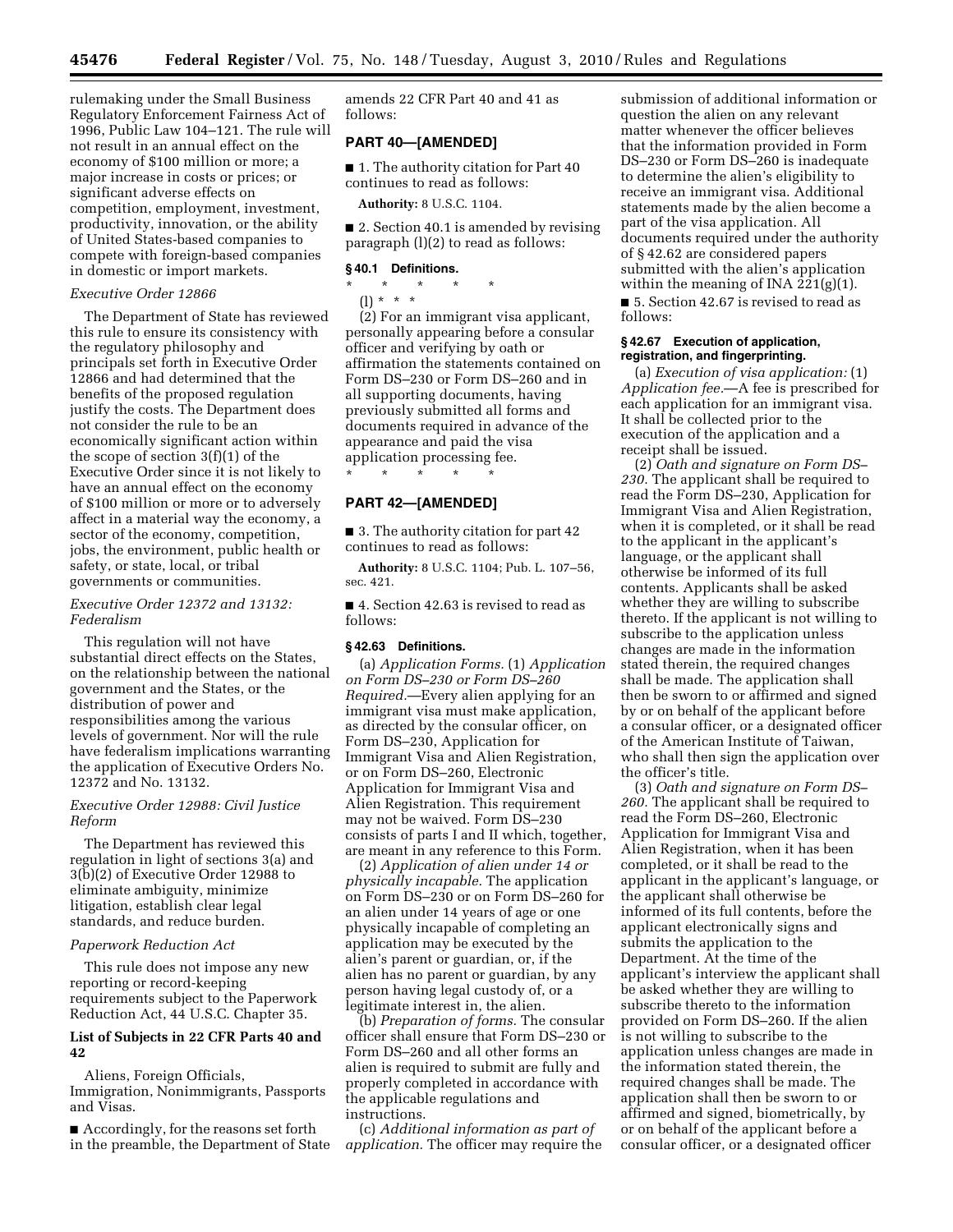rulemaking under the Small Business Regulatory Enforcement Fairness Act of 1996, Public Law 104–121. The rule will not result in an annual effect on the economy of \$100 million or more; a major increase in costs or prices; or significant adverse effects on competition, employment, investment, productivity, innovation, or the ability of United States-based companies to compete with foreign-based companies in domestic or import markets.

#### *Executive Order 12866*

The Department of State has reviewed this rule to ensure its consistency with the regulatory philosophy and principals set forth in Executive Order 12866 and had determined that the benefits of the proposed regulation justify the costs. The Department does not consider the rule to be an economically significant action within the scope of section 3(f)(1) of the Executive Order since it is not likely to have an annual effect on the economy of \$100 million or more or to adversely affect in a material way the economy, a sector of the economy, competition, jobs, the environment, public health or safety, or state, local, or tribal governments or communities.

## *Executive Order 12372 and 13132: Federalism*

This regulation will not have substantial direct effects on the States, on the relationship between the national government and the States, or the distribution of power and responsibilities among the various levels of government. Nor will the rule have federalism implications warranting the application of Executive Orders No. 12372 and No. 13132.

## *Executive Order 12988: Civil Justice Reform*

The Department has reviewed this regulation in light of sections 3(a) and 3(b)(2) of Executive Order 12988 to eliminate ambiguity, minimize litigation, establish clear legal standards, and reduce burden.

#### *Paperwork Reduction Act*

This rule does not impose any new reporting or record-keeping requirements subject to the Paperwork Reduction Act, 44 U.S.C. Chapter 35.

## **List of Subjects in 22 CFR Parts 40 and 42**

Aliens, Foreign Officials, Immigration, Nonimmigrants, Passports and Visas.

■ Accordingly, for the reasons set forth in the preamble, the Department of State amends 22 CFR Part 40 and 41 as follows:

## **PART 40—[AMENDED]**

■ 1. The authority citation for Part 40 continues to read as follows:

**Authority:** 8 U.S.C. 1104.

■ 2. Section 40.1 is amended by revising paragraph (l)(2) to read as follows:

# **§ 40.1 Definitions.**

\* \* \* \* \* (l) \* \* \*

(2) For an immigrant visa applicant, personally appearing before a consular officer and verifying by oath or affirmation the statements contained on Form DS–230 or Form DS–260 and in all supporting documents, having previously submitted all forms and documents required in advance of the appearance and paid the visa application processing fee. \* \* \* \* \*

## **PART 42—[AMENDED]**

■ 3. The authority citation for part 42 continues to read as follows:

**Authority:** 8 U.S.C. 1104; Pub. L. 107–56, sec. 421.

■ 4. Section 42.63 is revised to read as follows:

## **§ 42.63 Definitions.**

(a) *Application Forms.* (1) *Application on Form DS–230 or Form DS–260 Required.*—Every alien applying for an immigrant visa must make application, as directed by the consular officer, on Form DS–230, Application for Immigrant Visa and Alien Registration, or on Form DS–260, Electronic Application for Immigrant Visa and Alien Registration. This requirement may not be waived. Form DS–230 consists of parts I and II which, together, are meant in any reference to this Form.

(2) *Application of alien under 14 or physically incapable.* The application on Form DS–230 or on Form DS–260 for an alien under 14 years of age or one physically incapable of completing an application may be executed by the alien's parent or guardian, or, if the alien has no parent or guardian, by any person having legal custody of, or a legitimate interest in, the alien.

(b) *Preparation of forms.* The consular officer shall ensure that Form DS–230 or Form DS–260 and all other forms an alien is required to submit are fully and properly completed in accordance with the applicable regulations and instructions.

(c) *Additional information as part of application.* The officer may require the

submission of additional information or question the alien on any relevant matter whenever the officer believes that the information provided in Form DS–230 or Form DS–260 is inadequate to determine the alien's eligibility to receive an immigrant visa. Additional statements made by the alien become a part of the visa application. All documents required under the authority of § 42.62 are considered papers submitted with the alien's application within the meaning of INA 221(g)(1). ■ 5. Section 42.67 is revised to read as

follows:

## **§ 42.67 Execution of application, registration, and fingerprinting.**

(a) *Execution of visa application:* (1) *Application fee.*—A fee is prescribed for each application for an immigrant visa. It shall be collected prior to the execution of the application and a receipt shall be issued.

(2) *Oath and signature on Form DS– 230.* The applicant shall be required to read the Form DS–230, Application for Immigrant Visa and Alien Registration, when it is completed, or it shall be read to the applicant in the applicant's language, or the applicant shall otherwise be informed of its full contents. Applicants shall be asked whether they are willing to subscribe thereto. If the applicant is not willing to subscribe to the application unless changes are made in the information stated therein, the required changes shall be made. The application shall then be sworn to or affirmed and signed by or on behalf of the applicant before a consular officer, or a designated officer of the American Institute of Taiwan, who shall then sign the application over the officer's title.

(3) *Oath and signature on Form DS– 260.* The applicant shall be required to read the Form DS–260, Electronic Application for Immigrant Visa and Alien Registration, when it has been completed, or it shall be read to the applicant in the applicant's language, or the applicant shall otherwise be informed of its full contents, before the applicant electronically signs and submits the application to the Department. At the time of the applicant's interview the applicant shall be asked whether they are willing to subscribe thereto to the information provided on Form DS–260. If the alien is not willing to subscribe to the application unless changes are made in the information stated therein, the required changes shall be made. The application shall then be sworn to or affirmed and signed, biometrically, by or on behalf of the applicant before a consular officer, or a designated officer